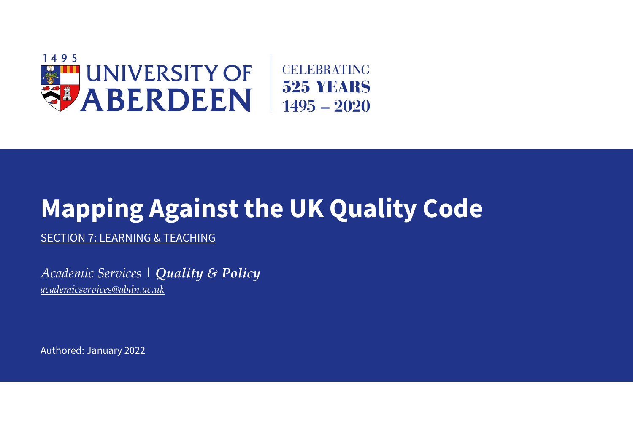

# **Mapping Against the UK Quality Code**

SECTION 7: LEARNING & TEACHING

*Academic Services | Quality & Policy [academicservices@abdn.ac.uk](mailto:academicservices@abdn.ac.uk)*

Authored: January 2022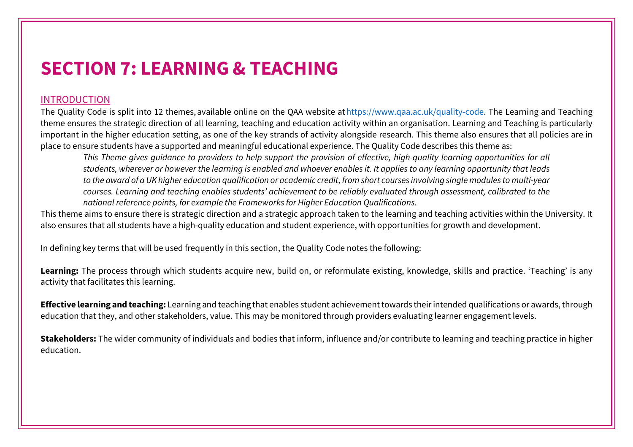# **SECTION 7: LEARNING & TEACHING**

## INTRODUCTION

The Quality Code is split into 12 themes, available online on the QAA website at https://www.qaa.ac.uk/quality-code. The Learning and Teaching theme ensures the strategic direction of all learning, teaching and education activity within an organisation. Learning and Teaching is particularly important in the higher education setting, as one of the key strands of activity alongside research. This theme also ensures that all policies are in place to ensure students have a supported and meaningful educational experience. The Quality Code describes this theme as:

*This Theme gives guidance to providers to help support the provision of effective, high-quality learning opportunities for all students, wherever or however the learning is enabled and whoever enables it. It applies to any learning opportunity that leads to the award of a UK higher education qualification or academic credit, from short courses involving single modules to multi-year courses. Learning and teaching enables students' achievement to be reliably evaluated through assessment, calibrated to the national reference points, for example the Frameworks for Higher Education Qualifications.*

This theme aims to ensure there is strategic direction and a strategic approach taken to the learning and teaching activities within the University. It also ensures that all students have a high-quality education and student experience, with opportunities for growth and development.

In defining key terms that will be used frequently in this section, the Quality Code notes the following: 

Learning: The process through which students acquire new, build on, or reformulate existing, knowledge, skills and practice. 'Teaching' is any activity that facilitates this learning.

**Effective learning and teaching:** Learning and teaching that enables student achievement towards their intended qualifications or awards, through education that they, and other stakeholders, value. This may be monitored through providers evaluating learner engagement levels.

**Stakeholders:** The wider community of individuals and bodies that inform, influence and/or contribute to learning and teaching practice in higher education.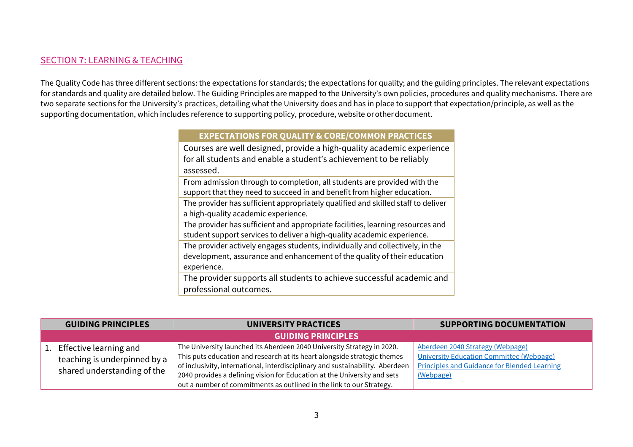### SECTION 7: LEARNING & TEACHING

The Quality Code has three different sections: the expectations for standards; the expectations for quality; and the guiding principles. The relevant expectations for standards and quality are detailed below. The Guiding Principles are mapped to the University's own policies, procedures and quality mechanisms. There are two separate sections for the University's practices, detailing what the University does and has in place to support that expectation/principle, as well as the supporting documentation, which includes reference to supporting policy, procedure, website or other document.  

#### **EXPECTATIONS FOR QUALITY & CORE/COMMON PRACTICES**

Courses are well designed, provide a high-quality academic experience for all students and enable a student's achievement to be reliably assessed.

From admission through to completion, all students are provided with the support that they need to succeed in and benefit from higher education.

The provider has sufficient appropriately qualified and skilled staff to deliver a high-quality academic experience.

The provider has sufficient and appropriate facilities, learning resources and student support services to deliver a high-quality academic experience. 

The provider actively engages students, individually and collectively, in the development, assurance and enhancement of the quality of their education experience.

The provider supports all students to achieve successful academic and professional outcomes.

| <b>GUIDING PRINCIPLES</b>                                                                | <b>UNIVERSITY PRACTICES</b>                                                                                                                                                                                                                                                                                     | <b>SUPPORTING DOCUMENTATION</b>                                                                                                                         |
|------------------------------------------------------------------------------------------|-----------------------------------------------------------------------------------------------------------------------------------------------------------------------------------------------------------------------------------------------------------------------------------------------------------------|---------------------------------------------------------------------------------------------------------------------------------------------------------|
|                                                                                          | <b>GUIDING PRINCIPLES</b>                                                                                                                                                                                                                                                                                       |                                                                                                                                                         |
| 1. Effective learning and<br>teaching is underpinned by a<br>shared understanding of the | The University launched its Aberdeen 2040 University Strategy in 2020.<br>This puts education and research at its heart alongside strategic themes<br>of inclusivity, international, interdisciplinary and sustainability. Aberdeen<br>2040 provides a defining vision for Education at the University and sets | Aberdeen 2040 Strategy (Webpage)<br><b>University Education Committee (Webpage)</b><br><b>Principles and Guidance for Blended Learning</b><br>(Webpage) |
|                                                                                          | out a number of commitments as outlined in the link to our Strategy.                                                                                                                                                                                                                                            |                                                                                                                                                         |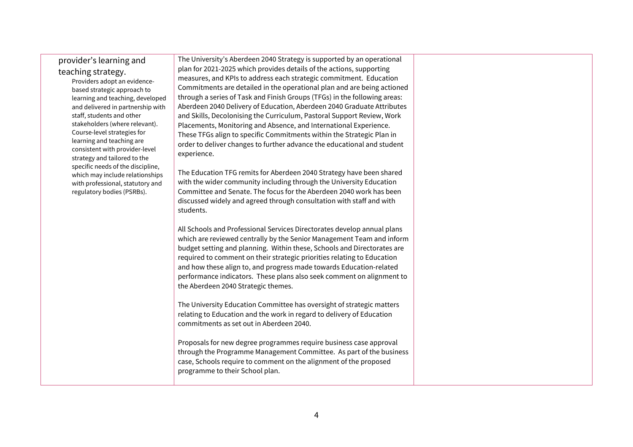#### provider's learning and teaching strategy.

Providers adopt an evidencebased strategic approach to learning and teaching, developed and delivered in partnership with staff, students and other stakeholders (where relevant). Course-level strategies for learning and teaching are consistent with provider-level strategy and tailored to the specific needs of the discipline, which may include relationships with professional, statutory and regulatory bodies (PSRBs).

The University's Aberdeen 2040 Strategy is supported by an operational plan for 2021-2025 which provides details of the actions, supporting measures, and KPIs to address each strategic commitment. Education Commitments are detailed in the operational plan and are being actioned through a series of Task and Finish Groups (TFGs) in the following areas: Aberdeen 2040 Delivery of Education, Aberdeen 2040 Graduate Attributes and Skills, Decolonising the Curriculum, Pastoral Support Review, Work Placements, Monitoring and Absence, and International Experience. These TFGs align to specific Commitments within the Strategic Plan in order to deliver changes to further advance the educational and student experience.

The Education TFG remits for Aberdeen 2040 Strategy have been shared with the wider community including through the University Education Committee and Senate. The focus for the Aberdeen 2040 work has been discussed widely and agreed through consultation with staff and with students.

All Schools and Professional Services Directorates develop annual plans which are reviewed centrally by the Senior Management Team and inform budget setting and planning. Within these, Schools and Directorates are required to comment on their strategic priorities relating to Education and how these align to, and progress made towards Education-related performance indicators. These plans also seek comment on alignment to the Aberdeen 2040 Strategic themes.

The University Education Committee has oversight of strategic matters relating to Education and the work in regard to delivery of Education commitments as set out in Aberdeen 2040.

Proposals for new degree programmes require business case approval through the Programme Management Committee. As part of the business case, Schools require to comment on the alignment of the proposed programme to their School plan.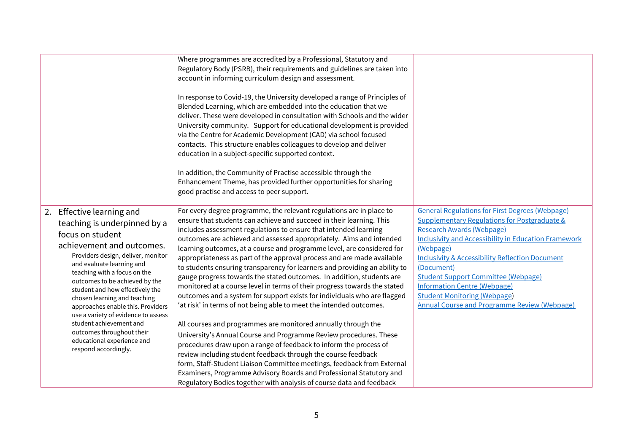|                                                                                                                                                                                                                                                                                                                                                                                                                                                                                                              | Where programmes are accredited by a Professional, Statutory and<br>Regulatory Body (PSRB), their requirements and guidelines are taken into<br>account in informing curriculum design and assessment.<br>In response to Covid-19, the University developed a range of Principles of<br>Blended Learning, which are embedded into the education that we<br>deliver. These were developed in consultation with Schools and the wider<br>University community. Support for educational development is provided<br>via the Centre for Academic Development (CAD) via school focused<br>contacts. This structure enables colleagues to develop and deliver<br>education in a subject-specific supported context.<br>In addition, the Community of Practise accessible through the<br>Enhancement Theme, has provided further opportunities for sharing<br>good practise and access to peer support.                                                                                                                                                                                                                                                                                                                                                                                                                                         |                                                                                                                                                                                                                                                                                                                                                                                                                                                                                |
|--------------------------------------------------------------------------------------------------------------------------------------------------------------------------------------------------------------------------------------------------------------------------------------------------------------------------------------------------------------------------------------------------------------------------------------------------------------------------------------------------------------|-----------------------------------------------------------------------------------------------------------------------------------------------------------------------------------------------------------------------------------------------------------------------------------------------------------------------------------------------------------------------------------------------------------------------------------------------------------------------------------------------------------------------------------------------------------------------------------------------------------------------------------------------------------------------------------------------------------------------------------------------------------------------------------------------------------------------------------------------------------------------------------------------------------------------------------------------------------------------------------------------------------------------------------------------------------------------------------------------------------------------------------------------------------------------------------------------------------------------------------------------------------------------------------------------------------------------------------------|--------------------------------------------------------------------------------------------------------------------------------------------------------------------------------------------------------------------------------------------------------------------------------------------------------------------------------------------------------------------------------------------------------------------------------------------------------------------------------|
| 2. Effective learning and<br>teaching is underpinned by a<br>focus on student<br>achievement and outcomes.<br>Providers design, deliver, monitor<br>and evaluate learning and<br>teaching with a focus on the<br>outcomes to be achieved by the<br>student and how effectively the<br>chosen learning and teaching<br>approaches enable this. Providers<br>use a variety of evidence to assess<br>student achievement and<br>outcomes throughout their<br>educational experience and<br>respond accordingly. | For every degree programme, the relevant regulations are in place to<br>ensure that students can achieve and succeed in their learning. This<br>includes assessment regulations to ensure that intended learning<br>outcomes are achieved and assessed appropriately. Aims and intended<br>learning outcomes, at a course and programme level, are considered for<br>appropriateness as part of the approval process and are made available<br>to students ensuring transparency for learners and providing an ability to<br>gauge progress towards the stated outcomes. In addition, students are<br>monitored at a course level in terms of their progress towards the stated<br>outcomes and a system for support exists for individuals who are flagged<br>'at risk' in terms of not being able to meet the intended outcomes.<br>All courses and programmes are monitored annually through the<br>University's Annual Course and Programme Review procedures. These<br>procedures draw upon a range of feedback to inform the process of<br>review including student feedback through the course feedback<br>form, Staff-Student Liaison Committee meetings, feedback from External<br>Examiners, Programme Advisory Boards and Professional Statutory and<br>Regulatory Bodies together with analysis of course data and feedback | <b>General Regulations for First Degrees (Webpage)</b><br>Supplementary Regulations for Postgraduate &<br>Research Awards (Webpage)<br><b>Inclusivity and Accessibility in Education Framework</b><br>(Webpage)<br><b>Inclusivity &amp; Accessibility Reflection Document</b><br>(Document)<br><b>Student Support Committee (Webpage)</b><br><b>Information Centre (Webpage)</b><br><b>Student Monitoring (Webpage)</b><br><b>Annual Course and Programme Review (Webpage)</b> |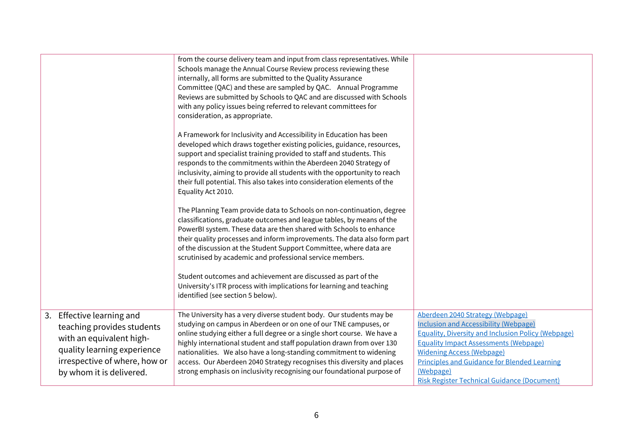|                                                                                                                                                                                 | from the course delivery team and input from class representatives. While<br>Schools manage the Annual Course Review process reviewing these<br>internally, all forms are submitted to the Quality Assurance<br>Committee (QAC) and these are sampled by QAC. Annual Programme<br>Reviews are submitted by Schools to QAC and are discussed with Schools<br>with any policy issues being referred to relevant committees for<br>consideration, as appropriate.<br>A Framework for Inclusivity and Accessibility in Education has been |                                                                                                                                                                                                                                                                                                                                                             |
|---------------------------------------------------------------------------------------------------------------------------------------------------------------------------------|---------------------------------------------------------------------------------------------------------------------------------------------------------------------------------------------------------------------------------------------------------------------------------------------------------------------------------------------------------------------------------------------------------------------------------------------------------------------------------------------------------------------------------------|-------------------------------------------------------------------------------------------------------------------------------------------------------------------------------------------------------------------------------------------------------------------------------------------------------------------------------------------------------------|
|                                                                                                                                                                                 | developed which draws together existing policies, guidance, resources,<br>support and specialist training provided to staff and students. This<br>responds to the commitments within the Aberdeen 2040 Strategy of<br>inclusivity, aiming to provide all students with the opportunity to reach<br>their full potential. This also takes into consideration elements of the<br>Equality Act 2010.                                                                                                                                     |                                                                                                                                                                                                                                                                                                                                                             |
|                                                                                                                                                                                 | The Planning Team provide data to Schools on non-continuation, degree<br>classifications, graduate outcomes and league tables, by means of the<br>PowerBI system. These data are then shared with Schools to enhance<br>their quality processes and inform improvements. The data also form part<br>of the discussion at the Student Support Committee, where data are<br>scrutinised by academic and professional service members.                                                                                                   |                                                                                                                                                                                                                                                                                                                                                             |
|                                                                                                                                                                                 | Student outcomes and achievement are discussed as part of the<br>University's ITR process with implications for learning and teaching<br>identified (see section 5 below).                                                                                                                                                                                                                                                                                                                                                            |                                                                                                                                                                                                                                                                                                                                                             |
| 3. Effective learning and<br>teaching provides students<br>with an equivalent high-<br>quality learning experience<br>irrespective of where, how or<br>by whom it is delivered. | The University has a very diverse student body. Our students may be<br>studying on campus in Aberdeen or on one of our TNE campuses, or<br>online studying either a full degree or a single short course. We have a<br>highly international student and staff population drawn from over 130<br>nationalities. We also have a long-standing commitment to widening<br>access. Our Aberdeen 2040 Strategy recognises this diversity and places<br>strong emphasis on inclusivity recognising our foundational purpose of               | Aberdeen 2040 Strategy (Webpage)<br><b>Inclusion and Accessibility (Webpage)</b><br><b>Equality, Diversity and Inclusion Policy (Webpage)</b><br><b>Equality Impact Assessments (Webpage)</b><br><b>Widening Access (Webpage)</b><br><b>Principles and Guidance for Blended Learning</b><br>(Webpage)<br><b>Risk Register Technical Guidance (Document)</b> |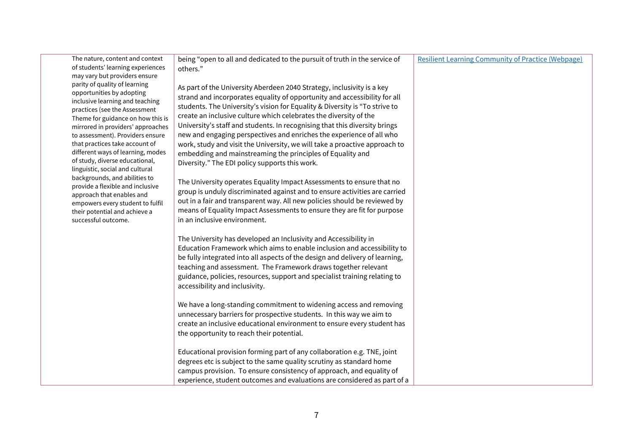| The nature, content and context<br>of students' learning experiences                                                                                                                                                                                                                                                                                                                                                                                                                                                                                                                                                    | being "open to all and dedicated to the pursuit of truth in the service of<br>others."                                                                                                                                                                                                                                                                                                                                                                                                                                                                                                                                                                                                                                                                                                                                                                                                                                                                                                                     | <b>Resilient Learning Community of Practice (Webpage)</b> |
|-------------------------------------------------------------------------------------------------------------------------------------------------------------------------------------------------------------------------------------------------------------------------------------------------------------------------------------------------------------------------------------------------------------------------------------------------------------------------------------------------------------------------------------------------------------------------------------------------------------------------|------------------------------------------------------------------------------------------------------------------------------------------------------------------------------------------------------------------------------------------------------------------------------------------------------------------------------------------------------------------------------------------------------------------------------------------------------------------------------------------------------------------------------------------------------------------------------------------------------------------------------------------------------------------------------------------------------------------------------------------------------------------------------------------------------------------------------------------------------------------------------------------------------------------------------------------------------------------------------------------------------------|-----------------------------------------------------------|
| may vary but providers ensure<br>parity of quality of learning<br>opportunities by adopting<br>inclusive learning and teaching<br>practices (see the Assessment<br>Theme for guidance on how this is<br>mirrored in providers' approaches<br>to assessment). Providers ensure<br>that practices take account of<br>different ways of learning, modes<br>of study, diverse educational,<br>linguistic, social and cultural<br>backgrounds, and abilities to<br>provide a flexible and inclusive<br>approach that enables and<br>empowers every student to fulfil<br>their potential and achieve a<br>successful outcome. | As part of the University Aberdeen 2040 Strategy, inclusivity is a key<br>strand and incorporates equality of opportunity and accessibility for all<br>students. The University's vision for Equality & Diversity is "To strive to<br>create an inclusive culture which celebrates the diversity of the<br>University's staff and students. In recognising that this diversity brings<br>new and engaging perspectives and enriches the experience of all who<br>work, study and visit the University, we will take a proactive approach to<br>embedding and mainstreaming the principles of Equality and<br>Diversity." The EDI policy supports this work.<br>The University operates Equality Impact Assessments to ensure that no<br>group is unduly discriminated against and to ensure activities are carried<br>out in a fair and transparent way. All new policies should be reviewed by<br>means of Equality Impact Assessments to ensure they are fit for purpose<br>in an inclusive environment. |                                                           |
|                                                                                                                                                                                                                                                                                                                                                                                                                                                                                                                                                                                                                         | The University has developed an Inclusivity and Accessibility in<br>Education Framework which aims to enable inclusion and accessibility to<br>be fully integrated into all aspects of the design and delivery of learning,<br>teaching and assessment. The Framework draws together relevant<br>guidance, policies, resources, support and specialist training relating to<br>accessibility and inclusivity.                                                                                                                                                                                                                                                                                                                                                                                                                                                                                                                                                                                              |                                                           |
|                                                                                                                                                                                                                                                                                                                                                                                                                                                                                                                                                                                                                         | We have a long-standing commitment to widening access and removing<br>unnecessary barriers for prospective students. In this way we aim to<br>create an inclusive educational environment to ensure every student has<br>the opportunity to reach their potential.                                                                                                                                                                                                                                                                                                                                                                                                                                                                                                                                                                                                                                                                                                                                         |                                                           |
|                                                                                                                                                                                                                                                                                                                                                                                                                                                                                                                                                                                                                         | Educational provision forming part of any collaboration e.g. TNE, joint<br>degrees etc is subject to the same quality scrutiny as standard home<br>campus provision. To ensure consistency of approach, and equality of<br>experience, student outcomes and evaluations are considered as part of a                                                                                                                                                                                                                                                                                                                                                                                                                                                                                                                                                                                                                                                                                                        |                                                           |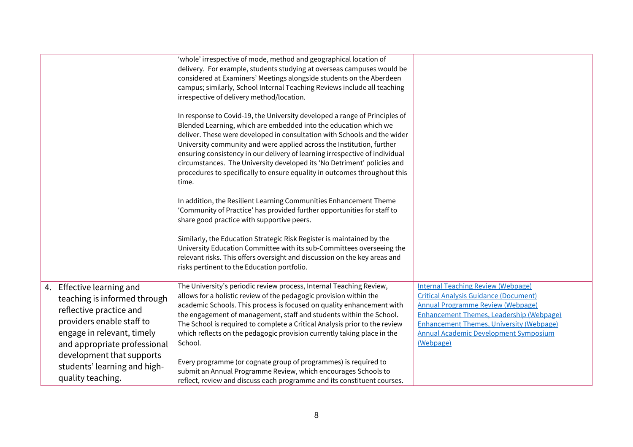|                                                                                                                                                                                                              | 'whole' irrespective of mode, method and geographical location of<br>delivery. For example, students studying at overseas campuses would be<br>considered at Examiners' Meetings alongside students on the Aberdeen<br>campus; similarly, School Internal Teaching Reviews include all teaching<br>irrespective of delivery method/location.<br>In response to Covid-19, the University developed a range of Principles of<br>Blended Learning, which are embedded into the education which we<br>deliver. These were developed in consultation with Schools and the wider<br>University community and were applied across the Institution, further<br>ensuring consistency in our delivery of learning irrespective of individual<br>circumstances. The University developed its 'No Detriment' policies and<br>procedures to specifically to ensure equality in outcomes throughout this<br>time.<br>In addition, the Resilient Learning Communities Enhancement Theme |                                                                                                                                                                                                                                                                                                          |
|--------------------------------------------------------------------------------------------------------------------------------------------------------------------------------------------------------------|--------------------------------------------------------------------------------------------------------------------------------------------------------------------------------------------------------------------------------------------------------------------------------------------------------------------------------------------------------------------------------------------------------------------------------------------------------------------------------------------------------------------------------------------------------------------------------------------------------------------------------------------------------------------------------------------------------------------------------------------------------------------------------------------------------------------------------------------------------------------------------------------------------------------------------------------------------------------------|----------------------------------------------------------------------------------------------------------------------------------------------------------------------------------------------------------------------------------------------------------------------------------------------------------|
|                                                                                                                                                                                                              | 'Community of Practice' has provided further opportunities for staff to<br>share good practice with supportive peers.                                                                                                                                                                                                                                                                                                                                                                                                                                                                                                                                                                                                                                                                                                                                                                                                                                                    |                                                                                                                                                                                                                                                                                                          |
|                                                                                                                                                                                                              | Similarly, the Education Strategic Risk Register is maintained by the<br>University Education Committee with its sub-Committees overseeing the<br>relevant risks. This offers oversight and discussion on the key areas and<br>risks pertinent to the Education portfolio.                                                                                                                                                                                                                                                                                                                                                                                                                                                                                                                                                                                                                                                                                               |                                                                                                                                                                                                                                                                                                          |
| 4. Effective learning and<br>teaching is informed through<br>reflective practice and<br>providers enable staff to<br>engage in relevant, timely<br>and appropriate professional<br>development that supports | The University's periodic review process, Internal Teaching Review,<br>allows for a holistic review of the pedagogic provision within the<br>academic Schools. This process is focused on quality enhancement with<br>the engagement of management, staff and students within the School.<br>The School is required to complete a Critical Analysis prior to the review<br>which reflects on the pedagogic provision currently taking place in the<br>School.                                                                                                                                                                                                                                                                                                                                                                                                                                                                                                            | <b>Internal Teaching Review (Webpage)</b><br><b>Critical Analysis Guidance (Document)</b><br><b>Annual Programme Review (Webpage)</b><br><b>Enhancement Themes, Leadership (Webpage)</b><br><b>Enhancement Themes, University (Webpage)</b><br><b>Annual Academic Development Symposium</b><br>(Webpage) |
| students' learning and high-<br>quality teaching.                                                                                                                                                            | Every programme (or cognate group of programmes) is required to<br>submit an Annual Programme Review, which encourages Schools to<br>reflect, review and discuss each programme and its constituent courses.                                                                                                                                                                                                                                                                                                                                                                                                                                                                                                                                                                                                                                                                                                                                                             |                                                                                                                                                                                                                                                                                                          |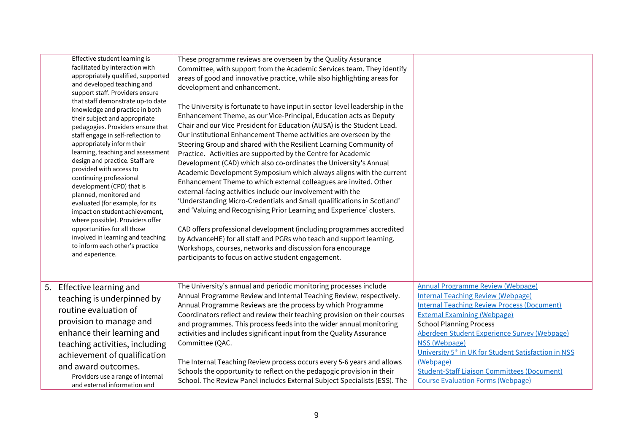| Effective student learning is<br>facilitated by interaction with<br>appropriately qualified, supported<br>and developed teaching and<br>support staff. Providers ensure<br>that staff demonstrate up-to date<br>knowledge and practice in both<br>their subject and appropriate<br>pedagogies. Providers ensure that<br>staff engage in self-reflection to<br>appropriately inform their<br>learning, teaching and assessment<br>design and practice. Staff are<br>provided with access to<br>continuing professional<br>development (CPD) that is<br>planned, monitored and<br>evaluated (for example, for its<br>impact on student achievement,<br>where possible). Providers offer<br>opportunities for all those<br>involved in learning and teaching<br>to inform each other's practice<br>and experience. | These programme reviews are overseen by the Quality Assurance<br>Committee, with support from the Academic Services team. They identify<br>areas of good and innovative practice, while also highlighting areas for<br>development and enhancement.<br>The University is fortunate to have input in sector-level leadership in the<br>Enhancement Theme, as our Vice-Principal, Education acts as Deputy<br>Chair and our Vice President for Education (AUSA) is the Student Lead.<br>Our institutional Enhancement Theme activities are overseen by the<br>Steering Group and shared with the Resilient Learning Community of<br>Practice. Activities are supported by the Centre for Academic<br>Development (CAD) which also co-ordinates the University's Annual<br>Academic Development Symposium which always aligns with the current<br>Enhancement Theme to which external colleagues are invited. Other<br>external-facing activities include our involvement with the<br>'Understanding Micro-Credentials and Small qualifications in Scotland'<br>and 'Valuing and Recognising Prior Learning and Experience' clusters.<br>CAD offers professional development (including programmes accredited<br>by AdvanceHE) for all staff and PGRs who teach and support learning.<br>Workshops, courses, networks and discussion fora encourage<br>participants to focus on active student engagement. |                                                                                                                                                                                                                                                                                                                                                                                                                                                                          |
|-----------------------------------------------------------------------------------------------------------------------------------------------------------------------------------------------------------------------------------------------------------------------------------------------------------------------------------------------------------------------------------------------------------------------------------------------------------------------------------------------------------------------------------------------------------------------------------------------------------------------------------------------------------------------------------------------------------------------------------------------------------------------------------------------------------------|---------------------------------------------------------------------------------------------------------------------------------------------------------------------------------------------------------------------------------------------------------------------------------------------------------------------------------------------------------------------------------------------------------------------------------------------------------------------------------------------------------------------------------------------------------------------------------------------------------------------------------------------------------------------------------------------------------------------------------------------------------------------------------------------------------------------------------------------------------------------------------------------------------------------------------------------------------------------------------------------------------------------------------------------------------------------------------------------------------------------------------------------------------------------------------------------------------------------------------------------------------------------------------------------------------------------------------------------------------------------------------------------------------|--------------------------------------------------------------------------------------------------------------------------------------------------------------------------------------------------------------------------------------------------------------------------------------------------------------------------------------------------------------------------------------------------------------------------------------------------------------------------|
| 5. Effective learning and<br>teaching is underpinned by<br>routine evaluation of<br>provision to manage and<br>enhance their learning and<br>teaching activities, including<br>achievement of qualification<br>and award outcomes.<br>Providers use a range of internal<br>and external information and                                                                                                                                                                                                                                                                                                                                                                                                                                                                                                         | The University's annual and periodic monitoring processes include<br>Annual Programme Review and Internal Teaching Review, respectively.<br>Annual Programme Reviews are the process by which Programme<br>Coordinators reflect and review their teaching provision on their courses<br>and programmes. This process feeds into the wider annual monitoring<br>activities and includes significant input from the Quality Assurance<br>Committee (QAC.<br>The Internal Teaching Review process occurs every 5-6 years and allows<br>Schools the opportunity to reflect on the pedagogic provision in their<br>School. The Review Panel includes External Subject Specialists (ESS). The                                                                                                                                                                                                                                                                                                                                                                                                                                                                                                                                                                                                                                                                                                                 | <b>Annual Programme Review (Webpage)</b><br><b>Internal Teaching Review (Webpage)</b><br><b>Internal Teaching Review Process (Document)</b><br><b>External Examining (Webpage)</b><br><b>School Planning Process</b><br>Aberdeen Student Experience Survey (Webpage)<br>NSS (Webpage)<br>University 5 <sup>th</sup> in UK for Student Satisfaction in NSS<br>(Webpage)<br><b>Student-Staff Liaison Committees (Document)</b><br><b>Course Evaluation Forms (Webpage)</b> |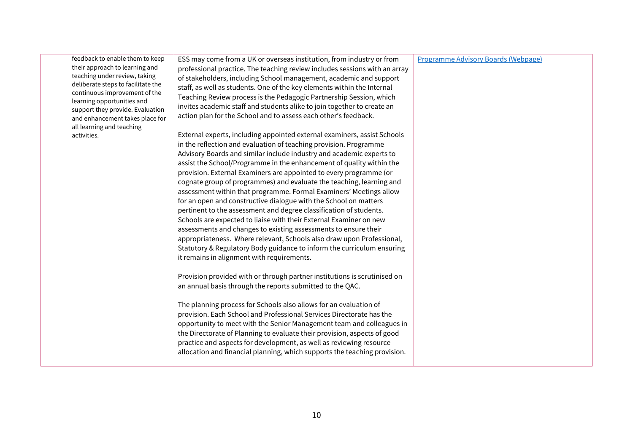| their approach to learning and<br>teaching under review, taking<br>deliberate steps to facilitate the<br>continuous improvement of the<br>learning opportunities and<br>support they provide. Evaluation<br>and enhancement takes place for<br>all learning and teaching<br>activities.<br>opportunity to meet with the Senior Management team and colleagues in<br>the Directorate of Planning to evaluate their provision, aspects of good<br>practice and aspects for development, as well as reviewing resource | professional practice. The teaching review includes sessions with an array<br>of stakeholders, including School management, academic and support<br>staff, as well as students. One of the key elements within the Internal<br>Teaching Review process is the Pedagogic Partnership Session, which<br>invites academic staff and students alike to join together to create an<br>action plan for the School and to assess each other's feedback.<br>External experts, including appointed external examiners, assist Schools<br>in the reflection and evaluation of teaching provision. Programme<br>Advisory Boards and similar include industry and academic experts to<br>assist the School/Programme in the enhancement of quality within the<br>provision. External Examiners are appointed to every programme (or<br>cognate group of programmes) and evaluate the teaching, learning and<br>assessment within that programme. Formal Examiners' Meetings allow<br>for an open and constructive dialogue with the School on matters<br>pertinent to the assessment and degree classification of students.<br>Schools are expected to liaise with their External Examiner on new<br>assessments and changes to existing assessments to ensure their<br>appropriateness. Where relevant, Schools also draw upon Professional,<br>Statutory & Regulatory Body guidance to inform the curriculum ensuring<br>it remains in alignment with requirements.<br>Provision provided with or through partner institutions is scrutinised on<br>an annual basis through the reports submitted to the QAC.<br>The planning process for Schools also allows for an evaluation of<br>provision. Each School and Professional Services Directorate has the |  |
|---------------------------------------------------------------------------------------------------------------------------------------------------------------------------------------------------------------------------------------------------------------------------------------------------------------------------------------------------------------------------------------------------------------------------------------------------------------------------------------------------------------------|--------------------------------------------------------------------------------------------------------------------------------------------------------------------------------------------------------------------------------------------------------------------------------------------------------------------------------------------------------------------------------------------------------------------------------------------------------------------------------------------------------------------------------------------------------------------------------------------------------------------------------------------------------------------------------------------------------------------------------------------------------------------------------------------------------------------------------------------------------------------------------------------------------------------------------------------------------------------------------------------------------------------------------------------------------------------------------------------------------------------------------------------------------------------------------------------------------------------------------------------------------------------------------------------------------------------------------------------------------------------------------------------------------------------------------------------------------------------------------------------------------------------------------------------------------------------------------------------------------------------------------------------------------------------------------------------------------------------------------------------------|--|
|---------------------------------------------------------------------------------------------------------------------------------------------------------------------------------------------------------------------------------------------------------------------------------------------------------------------------------------------------------------------------------------------------------------------------------------------------------------------------------------------------------------------|--------------------------------------------------------------------------------------------------------------------------------------------------------------------------------------------------------------------------------------------------------------------------------------------------------------------------------------------------------------------------------------------------------------------------------------------------------------------------------------------------------------------------------------------------------------------------------------------------------------------------------------------------------------------------------------------------------------------------------------------------------------------------------------------------------------------------------------------------------------------------------------------------------------------------------------------------------------------------------------------------------------------------------------------------------------------------------------------------------------------------------------------------------------------------------------------------------------------------------------------------------------------------------------------------------------------------------------------------------------------------------------------------------------------------------------------------------------------------------------------------------------------------------------------------------------------------------------------------------------------------------------------------------------------------------------------------------------------------------------------------|--|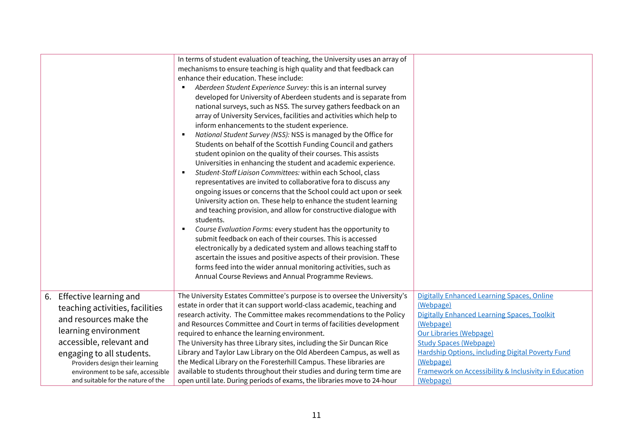|                                                                                                                                                                                                            | In terms of student evaluation of teaching, the University uses an array of<br>mechanisms to ensure teaching is high quality and that feedback can<br>enhance their education. These include:<br>Aberdeen Student Experience Survey: this is an internal survey<br>developed for University of Aberdeen students and is separate from<br>national surveys, such as NSS. The survey gathers feedback on an<br>array of University Services, facilities and activities which help to<br>inform enhancements to the student experience.<br>National Student Survey (NSS): NSS is managed by the Office for<br>٠<br>Students on behalf of the Scottish Funding Council and gathers<br>student opinion on the quality of their courses. This assists<br>Universities in enhancing the student and academic experience.<br>Student-Staff Liaison Committees: within each School, class<br>٠<br>representatives are invited to collaborative fora to discuss any<br>ongoing issues or concerns that the School could act upon or seek<br>University action on. These help to enhance the student learning<br>and teaching provision, and allow for constructive dialogue with<br>students.<br>Course Evaluation Forms: every student has the opportunity to<br>$\blacksquare$<br>submit feedback on each of their courses. This is accessed<br>electronically by a dedicated system and allows teaching staff to<br>ascertain the issues and positive aspects of their provision. These<br>forms feed into the wider annual monitoring activities, such as<br>Annual Course Reviews and Annual Programme Reviews. |                                                                                                                                                                                                                                                                                                                                    |
|------------------------------------------------------------------------------------------------------------------------------------------------------------------------------------------------------------|------------------------------------------------------------------------------------------------------------------------------------------------------------------------------------------------------------------------------------------------------------------------------------------------------------------------------------------------------------------------------------------------------------------------------------------------------------------------------------------------------------------------------------------------------------------------------------------------------------------------------------------------------------------------------------------------------------------------------------------------------------------------------------------------------------------------------------------------------------------------------------------------------------------------------------------------------------------------------------------------------------------------------------------------------------------------------------------------------------------------------------------------------------------------------------------------------------------------------------------------------------------------------------------------------------------------------------------------------------------------------------------------------------------------------------------------------------------------------------------------------------------------------------------------------------------------------------------------------------|------------------------------------------------------------------------------------------------------------------------------------------------------------------------------------------------------------------------------------------------------------------------------------------------------------------------------------|
| 6. Effective learning and<br>teaching activities, facilities<br>and resources make the<br>learning environment<br>accessible, relevant and<br>engaging to all students.<br>Providers design their learning | The University Estates Committee's purpose is to oversee the University's<br>estate in order that it can support world-class academic, teaching and<br>research activity. The Committee makes recommendations to the Policy<br>and Resources Committee and Court in terms of facilities development<br>required to enhance the learning environment.<br>The University has three Library sites, including the Sir Duncan Rice<br>Library and Taylor Law Library on the Old Aberdeen Campus, as well as<br>the Medical Library on the Foresterhill Campus. These libraries are<br>available to students throughout their studies and during term time are                                                                                                                                                                                                                                                                                                                                                                                                                                                                                                                                                                                                                                                                                                                                                                                                                                                                                                                                                   | Digitally Enhanced Learning Spaces, Online<br>(Webpage)<br>Digitally Enhanced Learning Spaces, Toolkit<br>(Webpage)<br><b>Our Libraries (Webpage)</b><br><b>Study Spaces (Webpage)</b><br><b>Hardship Options, including Digital Poverty Fund</b><br>(Webpage)<br><b>Framework on Accessibility &amp; Inclusivity in Education</b> |
| environment to be safe, accessible<br>and suitable for the nature of the                                                                                                                                   | open until late. During periods of exams, the libraries move to 24-hour                                                                                                                                                                                                                                                                                                                                                                                                                                                                                                                                                                                                                                                                                                                                                                                                                                                                                                                                                                                                                                                                                                                                                                                                                                                                                                                                                                                                                                                                                                                                    | (Webpage)                                                                                                                                                                                                                                                                                                                          |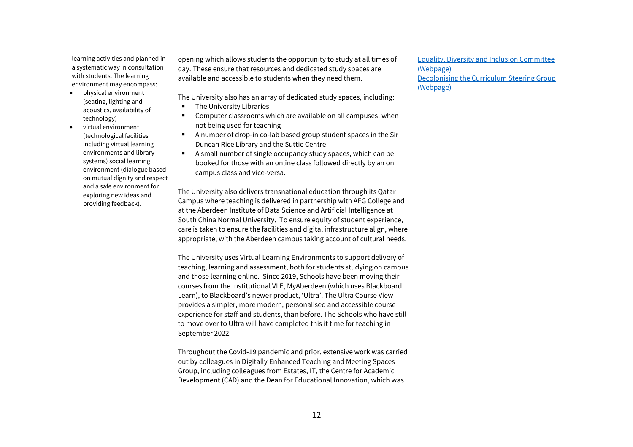learning activities and planned in a systematic way in consultation with students. The learning environment may encompass:

- physical environment (seating, lighting and acoustics, availability of technology)
- virtual environment (technological facilities including virtual learning environments and library systems) social learning environment (dialogue based on mutual dignity and respect and a safe environment for exploring new ideas and providing feedback).

opening which allows students the opportunity to study at all times of day. These ensure that resources and dedicated study spaces are available and accessible to students when they need them.

The University also has an array of dedicated study spaces, including:

- **The University Libraries**
- Computer classrooms which are available on all campuses, when not being used for teaching
- A number of drop-in co-lab based group student spaces in the Sir Duncan Rice Library and the Suttie Centre
- A small number of single occupancy study spaces, which can be booked for those with an online class followed directly by an on campus class and vice-versa.

The University also delivers transnational education through its Qatar Campus where teaching is delivered in partnership with AFG College and at the Aberdeen Institute of Data Science and Artificial Intelligence at South China Normal University. To ensure equity of student experience, care is taken to ensure the facilities and digital infrastructure align, where appropriate, with the Aberdeen campus taking account of cultural needs.

The University uses Virtual Learning Environments to support delivery of teaching, learning and assessment, both for students studying on campus and those learning online. Since 2019, Schools have been moving their courses from the Institutional VLE, MyAberdeen (which uses Blackboard Learn), to Blackboard's newer product, 'Ultra'. The Ultra Course View provides a simpler, more modern, personalised and accessible course experience for staff and students, than before. The Schools who have still to move over to Ultra will have completed this it time for teaching in September 2022.

Throughout the Covid-19 pandemic and prior, extensive work was carried out by colleagues in Digitally Enhanced Teaching and Meeting Spaces Group, including colleagues from Estates, IT, the Centre for Academic Development (CAD) and the Dean for Educational Innovation, which was

[Equality, Diversity and Inclusion Committee](https://www.abdn.ac.uk/staffnet/governance/equality-diversity-and-inclusion-committee-9357.php)  [\(Webpage\)](https://www.abdn.ac.uk/staffnet/governance/equality-diversity-and-inclusion-committee-9357.php) [Decolonising the Curriculum Steering Group](https://www.abdn.ac.uk/staffnet/governance/decolonising-and-enhancing-the-curriculum-steering-group-13989.php)  [\(Webpage\)](https://www.abdn.ac.uk/staffnet/governance/decolonising-and-enhancing-the-curriculum-steering-group-13989.php)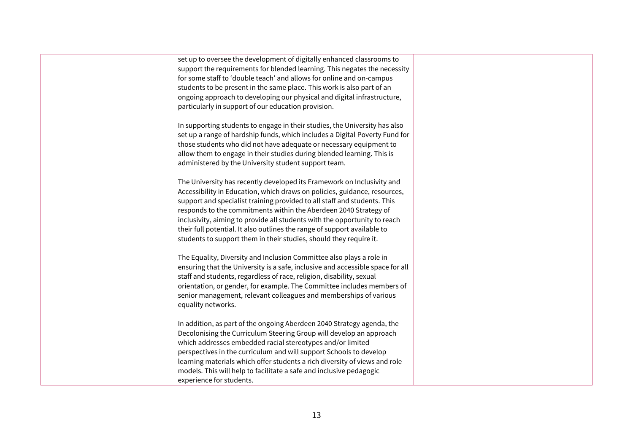| set up to oversee the development of digitally enhanced classrooms to<br>support the requirements for blended learning. This negates the necessity |  |
|----------------------------------------------------------------------------------------------------------------------------------------------------|--|
| for some staff to 'double teach' and allows for online and on-campus                                                                               |  |
| students to be present in the same place. This work is also part of an                                                                             |  |
| ongoing approach to developing our physical and digital infrastructure,                                                                            |  |
| particularly in support of our education provision.                                                                                                |  |
| In supporting students to engage in their studies, the University has also                                                                         |  |
| set up a range of hardship funds, which includes a Digital Poverty Fund for                                                                        |  |
| those students who did not have adequate or necessary equipment to                                                                                 |  |
| allow them to engage in their studies during blended learning. This is                                                                             |  |
| administered by the University student support team.                                                                                               |  |
| The University has recently developed its Framework on Inclusivity and                                                                             |  |
| Accessibility in Education, which draws on policies, guidance, resources,                                                                          |  |
| support and specialist training provided to all staff and students. This                                                                           |  |
| responds to the commitments within the Aberdeen 2040 Strategy of                                                                                   |  |
| inclusivity, aiming to provide all students with the opportunity to reach                                                                          |  |
| their full potential. It also outlines the range of support available to                                                                           |  |
| students to support them in their studies, should they require it.                                                                                 |  |
|                                                                                                                                                    |  |
| The Equality, Diversity and Inclusion Committee also plays a role in                                                                               |  |
| ensuring that the University is a safe, inclusive and accessible space for all                                                                     |  |
| staff and students, regardless of race, religion, disability, sexual                                                                               |  |
| orientation, or gender, for example. The Committee includes members of                                                                             |  |
| senior management, relevant colleagues and memberships of various                                                                                  |  |
| equality networks.                                                                                                                                 |  |
| In addition, as part of the ongoing Aberdeen 2040 Strategy agenda, the                                                                             |  |
| Decolonising the Curriculum Steering Group will develop an approach                                                                                |  |
| which addresses embedded racial stereotypes and/or limited                                                                                         |  |
| perspectives in the curriculum and will support Schools to develop                                                                                 |  |
| learning materials which offer students a rich diversity of views and role                                                                         |  |
| models. This will help to facilitate a safe and inclusive pedagogic                                                                                |  |
|                                                                                                                                                    |  |
| experience for students.                                                                                                                           |  |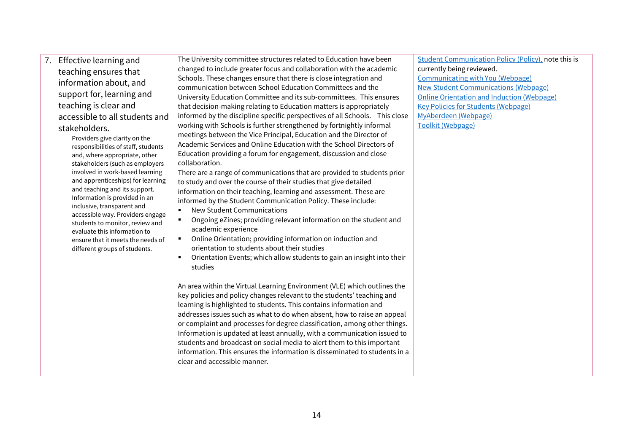7. Effective learning and teaching ensures that information about, and support for, learning and teaching is clear and accessible to all students and stakeholders.

Providers give clarity on the responsibilities of staff, students and, where appropriate, other stakeholders (such as employers involved in work-based learning and apprenticeships) for learning and teaching and its support. Information is provided in an inclusive, transparent and accessible way. Providers engage students to monitor, review and evaluate this information to ensure that it meets the needs of different groups of students.

The University committee structures related to Education have been changed to include greater focus and collaboration with the academic Schools. These changes ensure that there is close integration and communication between School Education Committees and the University Education Committee and its sub-committees. This ensures that decision-making relating to Education matters is appropriately informed by the discipline specific perspectives of all Schools. This close working with Schools is further strengthened by fortnightly informal meetings between the Vice Principal, Education and the Director of Academic Services and Online Education with the School Directors of Education providing a forum for engagement, discussion and close collaboration.

There are a range of communications that are provided to students prior to study and over the course of their studies that give detailed information on their teaching, learning and assessment. These are informed by the Student Communication Policy. These include:

- New Student Communications
- Ongoing eZines; providing relevant information on the student and academic experience
- Online Orientation; providing information on induction and orientation to students about their studies
- Orientation Events; which allow students to gain an insight into their studies

An area within the Virtual Learning Environment (VLE) which outlines the key policies and policy changes relevant to the students' teaching and learning is highlighted to students. This contains information and addresses issues such as what to do when absent, how to raise an appeal or complaint and processes for degree classification, among other things. Information is updated at least annually, with a communication issued to students and broadcast on social media to alert them to this important information. This ensures the information is disseminated to students in a clear and accessible manner.

[Student Communication Policy \(Policy\),](https://www.abdn.ac.uk/staffnet/documents/StudentCommunicationPolicy.pdf) note this is currently being reviewed. [Communicating with You \(Webpage\)](https://www.abdn.ac.uk/students/student-life/communicating-with-you-3032.php) [New Student Communications \(Webpage\)](https://www.abdn.ac.uk/students/student-life/email-archive.php) [Online Orientation and Induction \(Webpage\)](https://www.abdn.ac.uk/students/new-students/orientation-3620.php) [Key Policies for Students \(Webpage\)](https://www.abdn.ac.uk/staffnet/teaching/key-education-policies-for-students-11809?dm_i=5P1M,BST5,3K3F6U,1F5UH,1) [MyAberdeen \(Webpage\)](http://www.abdn.ac.uk/MyAberdeen) [Toolkit \(Webpage\)](https://www.abdn.ac.uk/toolkit/)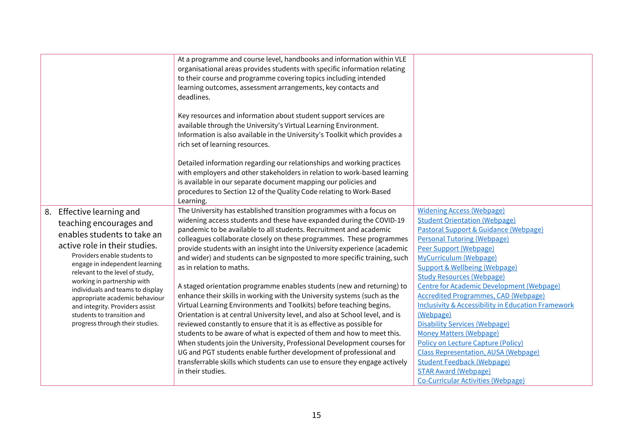|                                                                                                                                                                                                                                                                                                                                                                                                                                    | At a programme and course level, handbooks and information within VLE<br>organisational areas provides students with specific information relating<br>to their course and programme covering topics including intended<br>learning outcomes, assessment arrangements, key contacts and<br>deadlines.<br>Key resources and information about student support services are<br>available through the University's Virtual Learning Environment.<br>Information is also available in the University's Toolkit which provides a<br>rich set of learning resources.<br>Detailed information regarding our relationships and working practices<br>with employers and other stakeholders in relation to work-based learning<br>is available in our separate document mapping our policies and<br>procedures to Section 12 of the Quality Code relating to Work-Based<br>Learning.                                                                                                                                                                                                                                                                                                                            |                                                                                                                                                                                                                                                                                                                                                                                                                                                                                                                                                                                                                                                                                                                                                              |
|------------------------------------------------------------------------------------------------------------------------------------------------------------------------------------------------------------------------------------------------------------------------------------------------------------------------------------------------------------------------------------------------------------------------------------|------------------------------------------------------------------------------------------------------------------------------------------------------------------------------------------------------------------------------------------------------------------------------------------------------------------------------------------------------------------------------------------------------------------------------------------------------------------------------------------------------------------------------------------------------------------------------------------------------------------------------------------------------------------------------------------------------------------------------------------------------------------------------------------------------------------------------------------------------------------------------------------------------------------------------------------------------------------------------------------------------------------------------------------------------------------------------------------------------------------------------------------------------------------------------------------------------|--------------------------------------------------------------------------------------------------------------------------------------------------------------------------------------------------------------------------------------------------------------------------------------------------------------------------------------------------------------------------------------------------------------------------------------------------------------------------------------------------------------------------------------------------------------------------------------------------------------------------------------------------------------------------------------------------------------------------------------------------------------|
| 8. Effective learning and<br>teaching encourages and<br>enables students to take an<br>active role in their studies.<br>Providers enable students to<br>engage in independent learning<br>relevant to the level of study,<br>working in partnership with<br>individuals and teams to display<br>appropriate academic behaviour<br>and integrity. Providers assist<br>students to transition and<br>progress through their studies. | The University has established transition programmes with a focus on<br>widening access students and these have expanded during the COVID-19<br>pandemic to be available to all students. Recruitment and academic<br>colleagues collaborate closely on these programmes. These programmes<br>provide students with an insight into the University experience (academic<br>and wider) and students can be signposted to more specific training, such<br>as in relation to maths.<br>A staged orientation programme enables students (new and returning) to<br>enhance their skills in working with the University systems (such as the<br>Virtual Learning Environments and Toolkits) before teaching begins.<br>Orientation is at central University level, and also at School level, and is<br>reviewed constantly to ensure that it is as effective as possible for<br>students to be aware of what is expected of them and how to meet this.<br>When students join the University, Professional Development courses for<br>UG and PGT students enable further development of professional and<br>transferrable skills which students can use to ensure they engage actively<br>in their studies. | <b>Widening Access (Webpage)</b><br><b>Student Orientation (Webpage)</b><br>Pastoral Support & Guidance (Webpage)<br><b>Personal Tutoring (Webpage)</b><br>Peer Support (Webpage)<br>MyCurriculum (Webpage)<br><b>Support &amp; Wellbeing (Webpage)</b><br><b>Study Resources (Webpage)</b><br>Centre for Academic Development (Webpage)<br><b>Accredited Programmes, CAD (Webpage)</b><br><b>Inclusivity &amp; Accessibility in Education Framework</b><br>(Webpage)<br><b>Disability Services (Webpage)</b><br><b>Money Matters (Webpage)</b><br><b>Policy on Lecture Capture (Policy)</b><br><b>Class Representation, AUSA (Webpage)</b><br><b>Student Feedback (Webpage)</b><br><b>STAR Award (Webpage)</b><br><b>Co-Curricular Activities (Webpage)</b> |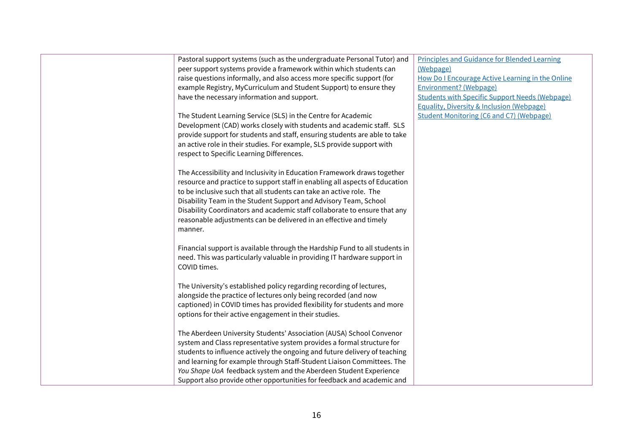| Pastoral support systems (such as the undergraduate Personal Tutor) and                                                                | <b>Principles and Guidance for Blended Learning</b>                                                           |
|----------------------------------------------------------------------------------------------------------------------------------------|---------------------------------------------------------------------------------------------------------------|
| peer support systems provide a framework within which students can                                                                     | (Webpage)                                                                                                     |
| raise questions informally, and also access more specific support (for                                                                 | How Do I Encourage Active Learning in the Online                                                              |
| example Registry, MyCurriculum and Student Support) to ensure they                                                                     | <b>Environment?</b> (Webpage)                                                                                 |
| have the necessary information and support.                                                                                            | <b>Students with Specific Support Needs (Webpage)</b><br><b>Equality, Diversity &amp; Inclusion (Webpage)</b> |
|                                                                                                                                        | <b>Student Monitoring (C6 and C7) (Webpage)</b>                                                               |
| The Student Learning Service (SLS) in the Centre for Academic<br>Development (CAD) works closely with students and academic staff. SLS |                                                                                                               |
| provide support for students and staff, ensuring students are able to take                                                             |                                                                                                               |
| an active role in their studies. For example, SLS provide support with                                                                 |                                                                                                               |
| respect to Specific Learning Differences.                                                                                              |                                                                                                               |
|                                                                                                                                        |                                                                                                               |
| The Accessibility and Inclusivity in Education Framework draws together                                                                |                                                                                                               |
| resource and practice to support staff in enabling all aspects of Education                                                            |                                                                                                               |
| to be inclusive such that all students can take an active role. The                                                                    |                                                                                                               |
| Disability Team in the Student Support and Advisory Team, School                                                                       |                                                                                                               |
| Disability Coordinators and academic staff collaborate to ensure that any                                                              |                                                                                                               |
| reasonable adjustments can be delivered in an effective and timely                                                                     |                                                                                                               |
| manner.                                                                                                                                |                                                                                                               |
|                                                                                                                                        |                                                                                                               |
| Financial support is available through the Hardship Fund to all students in                                                            |                                                                                                               |
| need. This was particularly valuable in providing IT hardware support in                                                               |                                                                                                               |
| COVID times.                                                                                                                           |                                                                                                               |
|                                                                                                                                        |                                                                                                               |
| The University's established policy regarding recording of lectures,                                                                   |                                                                                                               |
| alongside the practice of lectures only being recorded (and now                                                                        |                                                                                                               |
| captioned) in COVID times has provided flexibility for students and more                                                               |                                                                                                               |
| options for their active engagement in their studies.                                                                                  |                                                                                                               |
|                                                                                                                                        |                                                                                                               |
| The Aberdeen University Students' Association (AUSA) School Convenor                                                                   |                                                                                                               |
| system and Class representative system provides a formal structure for                                                                 |                                                                                                               |
| students to influence actively the ongoing and future delivery of teaching                                                             |                                                                                                               |
| and learning for example through Staff-Student Liaison Committees. The                                                                 |                                                                                                               |
| You Shape UoA feedback system and the Aberdeen Student Experience                                                                      |                                                                                                               |
| Support also provide other opportunities for feedback and academic and                                                                 |                                                                                                               |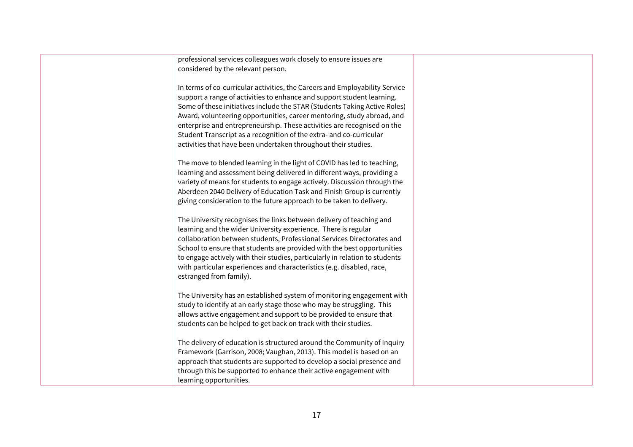| professional services colleagues work closely to ensure issues are          |
|-----------------------------------------------------------------------------|
| considered by the relevant person.                                          |
|                                                                             |
| In terms of co-curricular activities, the Careers and Employability Service |
| support a range of activities to enhance and support student learning.      |
| Some of these initiatives include the STAR (Students Taking Active Roles)   |
| Award, volunteering opportunities, career mentoring, study abroad, and      |
| enterprise and entrepreneurship. These activities are recognised on the     |
| Student Transcript as a recognition of the extra- and co-curricular         |
| activities that have been undertaken throughout their studies.              |
|                                                                             |
| The move to blended learning in the light of COVID has led to teaching,     |
| learning and assessment being delivered in different ways, providing a      |
| variety of means for students to engage actively. Discussion through the    |
| Aberdeen 2040 Delivery of Education Task and Finish Group is currently      |
| giving consideration to the future approach to be taken to delivery.        |
|                                                                             |
| The University recognises the links between delivery of teaching and        |
| learning and the wider University experience. There is regular              |
| collaboration between students, Professional Services Directorates and      |
| School to ensure that students are provided with the best opportunities     |
| to engage actively with their studies, particularly in relation to students |
| with particular experiences and characteristics (e.g. disabled, race,       |
| estranged from family).                                                     |
|                                                                             |
| The University has an established system of monitoring engagement with      |
| study to identify at an early stage those who may be struggling. This       |
| allows active engagement and support to be provided to ensure that          |
| students can be helped to get back on track with their studies.             |
|                                                                             |
| The delivery of education is structured around the Community of Inquiry     |
| Framework (Garrison, 2008; Vaughan, 2013). This model is based on an        |
| approach that students are supported to develop a social presence and       |
| through this be supported to enhance their active engagement with           |
| learning opportunities.                                                     |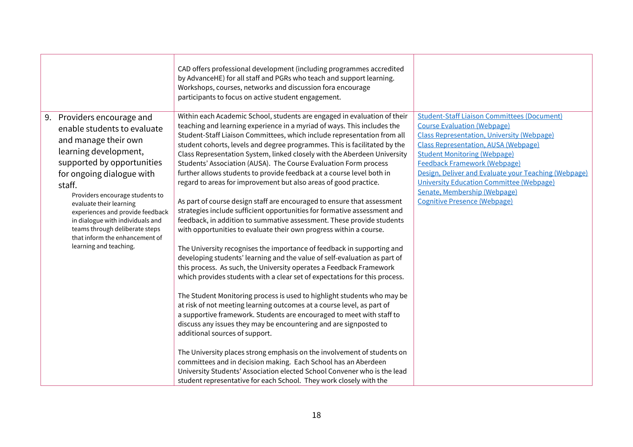| Within each Academic School, students are engaged in evaluation of their<br>Providers encourage and<br>9.                                                                                                                                                                                                                                                                                                                                                                                                                                                                                                                                                                                                                                                                                                                                                                                                                                                                                                                                                                                                                                                                                                                                                                                                                                                                                                                                                                                                                                                                                                                                                                                                                                                                                                                                                                                                                                                                                                                                                                                                                                                                                                                                                 |                                                                                                                                                                                                                                                                                                                                                                                |
|-----------------------------------------------------------------------------------------------------------------------------------------------------------------------------------------------------------------------------------------------------------------------------------------------------------------------------------------------------------------------------------------------------------------------------------------------------------------------------------------------------------------------------------------------------------------------------------------------------------------------------------------------------------------------------------------------------------------------------------------------------------------------------------------------------------------------------------------------------------------------------------------------------------------------------------------------------------------------------------------------------------------------------------------------------------------------------------------------------------------------------------------------------------------------------------------------------------------------------------------------------------------------------------------------------------------------------------------------------------------------------------------------------------------------------------------------------------------------------------------------------------------------------------------------------------------------------------------------------------------------------------------------------------------------------------------------------------------------------------------------------------------------------------------------------------------------------------------------------------------------------------------------------------------------------------------------------------------------------------------------------------------------------------------------------------------------------------------------------------------------------------------------------------------------------------------------------------------------------------------------------------|--------------------------------------------------------------------------------------------------------------------------------------------------------------------------------------------------------------------------------------------------------------------------------------------------------------------------------------------------------------------------------|
| teaching and learning experience in a myriad of ways. This includes the<br>enable students to evaluate<br>Student-Staff Liaison Committees, which include representation from all<br>and manage their own<br>student cohorts, levels and degree programmes. This is facilitated by the<br>learning development,<br>Class Representation System, linked closely with the Aberdeen University<br><b>Student Monitoring (Webpage)</b><br>supported by opportunities<br>Students' Association (AUSA). The Course Evaluation Form process<br>further allows students to provide feedback at a course level both in<br>for ongoing dialogue with<br>regard to areas for improvement but also areas of good practice.<br>staff.<br>Providers encourage students to<br><b>Cognitive Presence (Webpage)</b><br>As part of course design staff are encouraged to ensure that assessment<br>evaluate their learning<br>strategies include sufficient opportunities for formative assessment and<br>experiences and provide feedback<br>feedback, in addition to summative assessment. These provide students<br>in dialogue with individuals and<br>teams through deliberate steps<br>with opportunities to evaluate their own progress within a course.<br>that inform the enhancement of<br>learning and teaching.<br>The University recognises the importance of feedback in supporting and<br>developing students' learning and the value of self-evaluation as part of<br>this process. As such, the University operates a Feedback Framework<br>which provides students with a clear set of expectations for this process.<br>The Student Monitoring process is used to highlight students who may be<br>at risk of not meeting learning outcomes at a course level, as part of<br>a supportive framework. Students are encouraged to meet with staff to<br>discuss any issues they may be encountering and are signposted to<br>additional sources of support.<br>The University places strong emphasis on the involvement of students on<br>committees and in decision making. Each School has an Aberdeen<br>University Students' Association elected School Convener who is the lead<br>student representative for each School. They work closely with the | <b>Student-Staff Liaison Committees (Document)</b><br><b>Course Evaluation (Webpage)</b><br><b>Class Representation, University (Webpage)</b><br><b>Class Representation, AUSA (Webpage)</b><br><b>Feedback Framework (Webpage)</b><br>Design, Deliver and Evaluate your Teaching (Webpage)<br><b>University Education Committee (Webpage)</b><br>Senate, Membership (Webpage) |